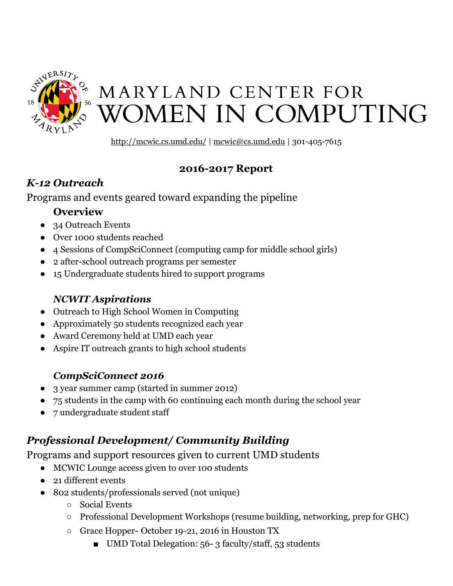

# MARYLAND CENTER FOR **WOMEN IN COMPUTING**

<http://mcwic.cs.umd.edu/> | [mcwic@cs.umd.edu](mailto:mcwic@cs.umd.edu) | 301-405-7615

#### **2016-2017 Report**

## *K-12 Outreach*

Programs and events geared toward expanding the pipeline

## **Overview**

- 34 Outreach Events
- Over 1000 students reached
- 4 Sessions of CompSciConnect (computing camp for middle school girls)
- 2 after-school outreach programs per semester
- 15 Undergraduate students hired to support programs

# *NCWIT Aspirations*

- Outreach to High School Women in Computing
- Approximately 50 students recognized each year
- Award Ceremony held at UMD each year
- Aspire IT outreach grants to high school students

# *CompSciConnect 2016*

- 3 year summer camp (started in summer 2012)
- 75 students in the camp with 60 continuing each month during the school year
- 7 undergraduate student staff

# *Professional Development/ Community Building*

Programs and support resources given to current UMD students

- MCWIC Lounge access given to over 100 students
- 21 different events
- 802 students/professionals served (not unique)
	- Social Events
	- Professional Development Workshops (resume building, networking, prep for GHC)
	- Grace Hopper- October 19-21, 2016 in Houston TX
		- UMD Total Delegation: 56- 3 faculty/staff, 53 students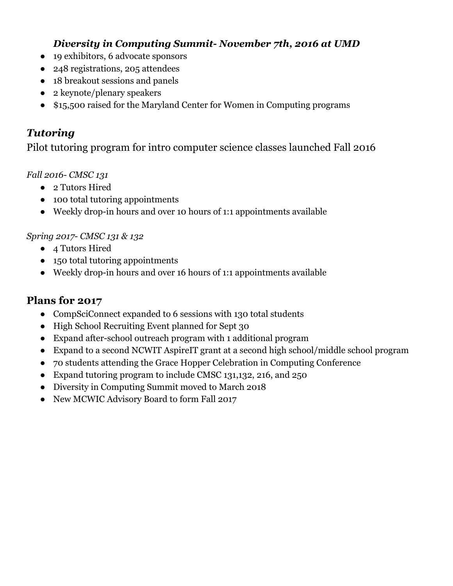#### *Diversity in Computing Summit- November 7th, 2016 at UMD*

- 19 exhibitors, 6 advocate sponsors
- 248 registrations, 205 attendees
- 18 breakout sessions and panels
- 2 keynote/plenary speakers
- \$15,500 raised for the Maryland Center for Women in Computing programs

#### *Tutoring*

Pilot tutoring program for intro computer science classes launched Fall 2016

#### *Fall 2016- CMSC 131*

- 2 Tutors Hired
- 100 total tutoring appointments
- Weekly drop-in hours and over 10 hours of 1:1 appointments available

#### *Spring 2017- CMSC 131 & 132*

- 4 Tutors Hired
- 150 total tutoring appointments
- Weekly drop-in hours and over 16 hours of 1:1 appointments available

#### **Plans for 2017**

- CompSciConnect expanded to 6 sessions with 130 total students
- High School Recruiting Event planned for Sept 30
- Expand after-school outreach program with 1 additional program
- Expand to a second NCWIT AspireIT grant at a second high school/middle school program
- 70 students attending the Grace Hopper Celebration in Computing Conference
- Expand tutoring program to include CMSC 131,132, 216, and 250
- Diversity in Computing Summit moved to March 2018
- New MCWIC Advisory Board to form Fall 2017